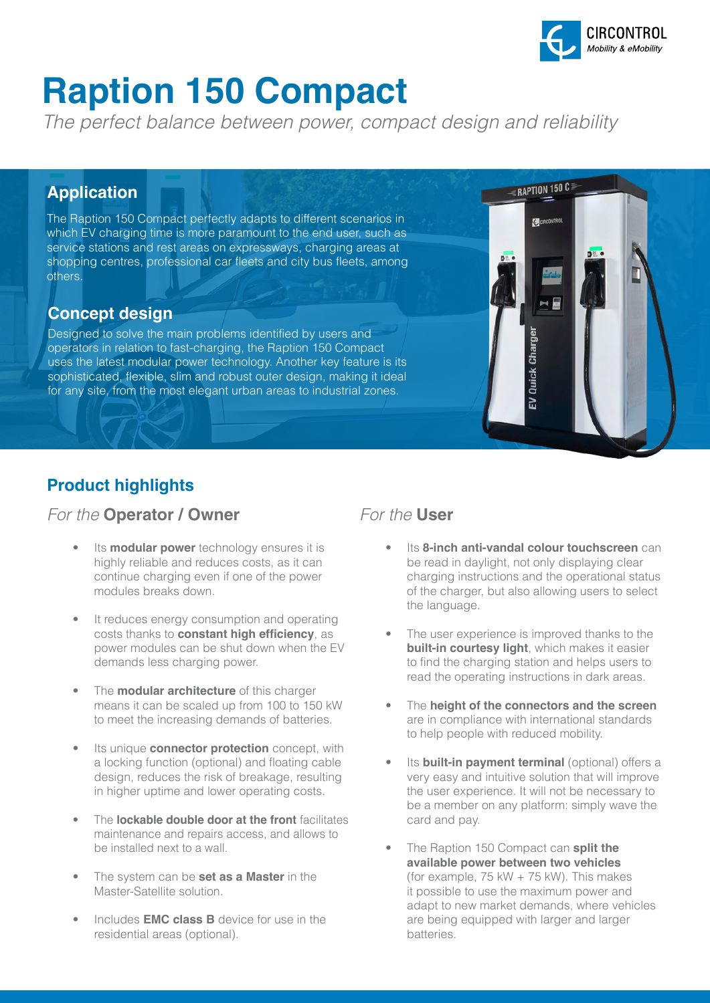

RAPTION 150 C

EV Quick Charge

C CIRCONTROL

# **Raption 150 Compact**

*The perfect balance between power, compact design and reliability*

### **Application**

The Raption 150 Compact perfectly adapts to different scenarios in which EV charging time is more paramount to the end user, such as service stations and rest areas on expressways, charging areas at shopping centres, professional car fleets and city bus fleets, among others.

### **Concept design**

Designed to solve the main problems identified by users and operators in relation to fast-charging, the Raption 150 Compact uses the latest modular power technology. Another key feature is its sophisticated, flexible, slim and robust outer design, making it ideal for any site, from the most elegant urban areas to industrial zones.



### *For the* **Operator / Owner** *For the* **User**

- Its **modular power** technology ensures it is highly reliable and reduces costs, as it can continue charging even if one of the power modules breaks down.
- It reduces energy consumption and operating costs thanks to **constant high efficiency**, as power modules can be shut down when the EV demands less charging power.
- The **modular architecture** of this charger means it can be scaled up from 100 to 150 kW to meet the increasing demands of batteries.
- Its unique **connector protection** concept, with a locking function (optional) and floating cable design, reduces the risk of breakage, resulting in higher uptime and lower operating costs.
- The **lockable double door at the front** facilitates maintenance and repairs access, and allows to be installed next to a wall.
- The system can be **set as a Master** in the Master-Satellite solution.
- Includes **EMC class B** device for use in the residential areas (optional).

- **Its 8-inch anti-vandal colour touchscreen** can be read in daylight, not only displaying clear charging instructions and the operational status of the charger, but also allowing users to select the language.
- The user experience is improved thanks to the **built-in courtesy light**, which makes it easier to find the charging station and helps users to read the operating instructions in dark areas.
- The **height of the connectors and the screen** are in compliance with international standards to help people with reduced mobility.
- Its **built-in payment terminal** (optional) offers a very easy and intuitive solution that will improve the user experience. It will not be necessary to be a member on any platform: simply wave the card and pay.
- The Raption 150 Compact can **split the available power between two vehicles** (for example, 75 kW + 75 kW). This makes it possible to use the maximum power and adapt to new market demands, where vehicles are being equipped with larger and larger batteries.